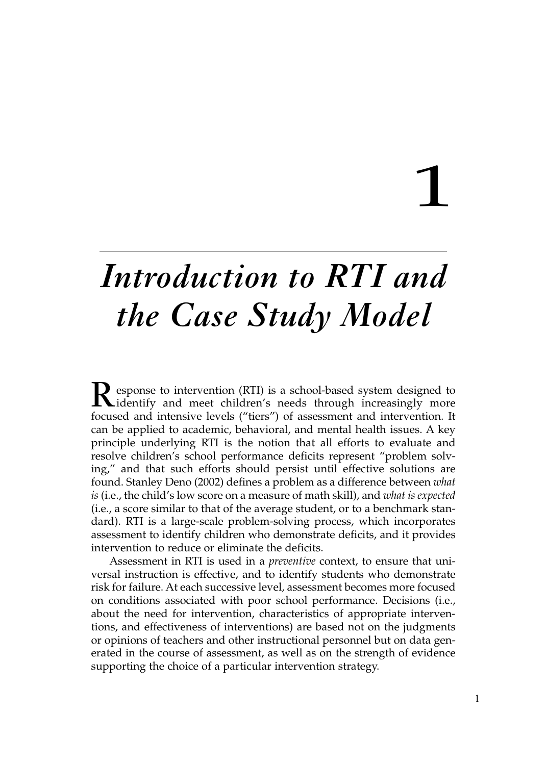# 1

# *Introduction to RTI and the Case Study Model*

Response to intervention (RTI) is a school-based system designed to<br>identify and meet children's needs through increasingly more focused and intensive levels ("tiers") of assessment and intervention. It can be applied to academic, behavioral, and mental health issues. A key principle underlying RTI is the notion that all efforts to evaluate and resolve children's school performance deficits represent "problem solving," and that such efforts should persist until effective solutions are found. Stanley Deno (2002) defines a problem as a difference between *what is* (i.e., the child's low score on a measure of math skill), and *what is expected* (i.e., a score similar to that of the average student, or to a benchmark standard). RTI is a large-scale problem-solving process, which incorporates assessment to identify children who demonstrate deficits, and it provides intervention to reduce or eliminate the deficits.

Assessment in RTI is used in a *preventive* context, to ensure that universal instruction is effective, and to identify students who demonstrate risk for failure. At each successive level, assessment becomes more focused on conditions associated with poor school performance. Decisions (i.e., about the need for intervention, characteristics of appropriate interventions, and effectiveness of interventions) are based not on the judgments or opinions of teachers and other instructional personnel but on data generated in the course of assessment, as well as on the strength of evidence supporting the choice of a particular intervention strategy.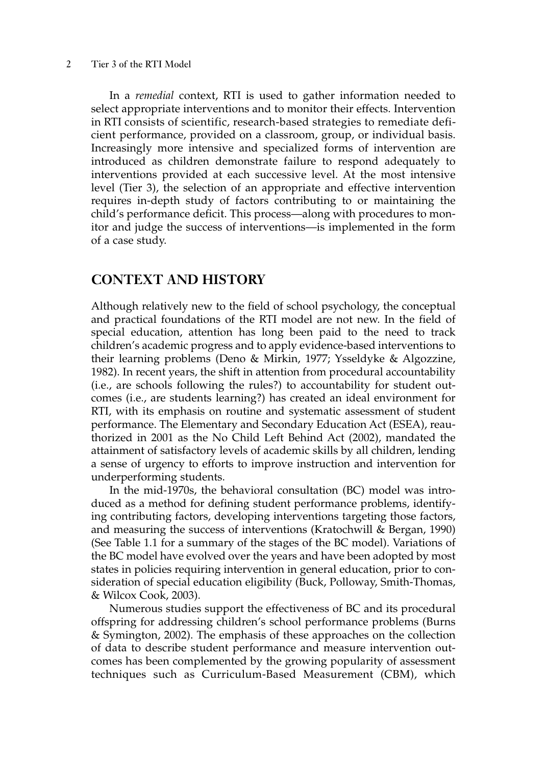In a *remedial* context, RTI is used to gather information needed to select appropriate interventions and to monitor their effects. Intervention in RTI consists of scientific, research-based strategies to remediate deficient performance, provided on a classroom, group, or individual basis. Increasingly more intensive and specialized forms of intervention are introduced as children demonstrate failure to respond adequately to interventions provided at each successive level. At the most intensive level (Tier 3), the selection of an appropriate and effective intervention requires in-depth study of factors contributing to or maintaining the child's performance deficit. This process—along with procedures to monitor and judge the success of interventions—is implemented in the form of a case study.

### **CONTEXT AND HISTORY**

Although relatively new to the field of school psychology, the conceptual and practical foundations of the RTI model are not new. In the field of special education, attention has long been paid to the need to track children's academic progress and to apply evidence-based interventions to their learning problems (Deno & Mirkin, 1977; Ysseldyke & Algozzine, 1982). In recent years, the shift in attention from procedural accountability (i.e., are schools following the rules?) to accountability for student outcomes (i.e., are students learning?) has created an ideal environment for RTI, with its emphasis on routine and systematic assessment of student performance. The Elementary and Secondary Education Act (ESEA), reauthorized in 2001 as the No Child Left Behind Act (2002), mandated the attainment of satisfactory levels of academic skills by all children, lending a sense of urgency to efforts to improve instruction and intervention for underperforming students.

In the mid-1970s, the behavioral consultation (BC) model was introduced as a method for defining student performance problems, identifying contributing factors, developing interventions targeting those factors, and measuring the success of interventions (Kratochwill & Bergan, 1990) (See Table 1.1 for a summary of the stages of the BC model). Variations of the BC model have evolved over the years and have been adopted by most states in policies requiring intervention in general education, prior to consideration of special education eligibility (Buck, Polloway, Smith-Thomas, & Wilcox Cook, 2003).

Numerous studies support the effectiveness of BC and its procedural offspring for addressing children's school performance problems (Burns & Symington, 2002). The emphasis of these approaches on the collection of data to describe student performance and measure intervention outcomes has been complemented by the growing popularity of assessment techniques such as Curriculum-Based Measurement (CBM), which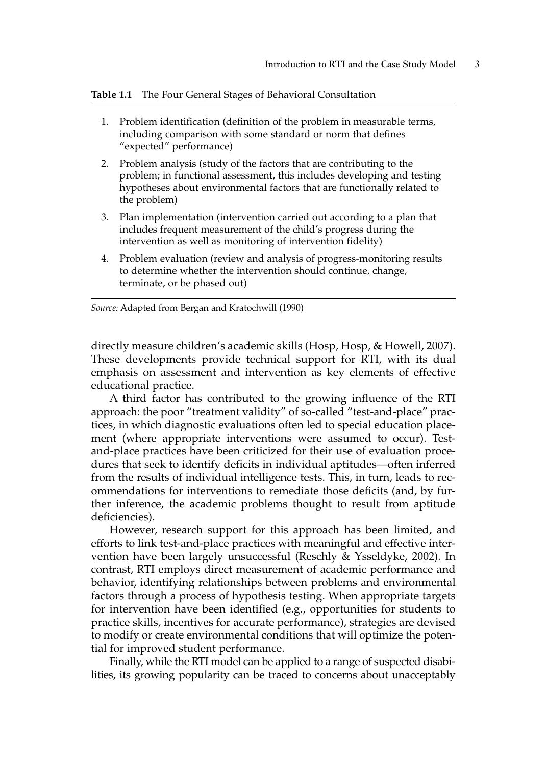**Table 1.1** The Four General Stages of Behavioral Consultation

- 1. Problem identification (definition of the problem in measurable terms, including comparison with some standard or norm that defines "expected" performance)
- 2. Problem analysis (study of the factors that are contributing to the problem; in functional assessment, this includes developing and testing hypotheses about environmental factors that are functionally related to the problem)
- 3. Plan implementation (intervention carried out according to a plan that includes frequent measurement of the child's progress during the intervention as well as monitoring of intervention fidelity)
- 4. Problem evaluation (review and analysis of progress-monitoring results to determine whether the intervention should continue, change, terminate, or be phased out)

*Source:* Adapted from Bergan and Kratochwill (1990)

directly measure children's academic skills (Hosp, Hosp, & Howell, 2007). These developments provide technical support for RTI, with its dual emphasis on assessment and intervention as key elements of effective educational practice.

A third factor has contributed to the growing influence of the RTI approach: the poor "treatment validity" of so-called "test-and-place" practices, in which diagnostic evaluations often led to special education placement (where appropriate interventions were assumed to occur). Testand-place practices have been criticized for their use of evaluation procedures that seek to identify deficits in individual aptitudes—often inferred from the results of individual intelligence tests. This, in turn, leads to recommendations for interventions to remediate those deficits (and, by further inference, the academic problems thought to result from aptitude deficiencies).

However, research support for this approach has been limited, and efforts to link test-and-place practices with meaningful and effective intervention have been largely unsuccessful (Reschly & Ysseldyke, 2002). In contrast, RTI employs direct measurement of academic performance and behavior, identifying relationships between problems and environmental factors through a process of hypothesis testing. When appropriate targets for intervention have been identified (e.g., opportunities for students to practice skills, incentives for accurate performance), strategies are devised to modify or create environmental conditions that will optimize the potential for improved student performance.

Finally, while the RTI model can be applied to a range of suspected disabilities, its growing popularity can be traced to concerns about unacceptably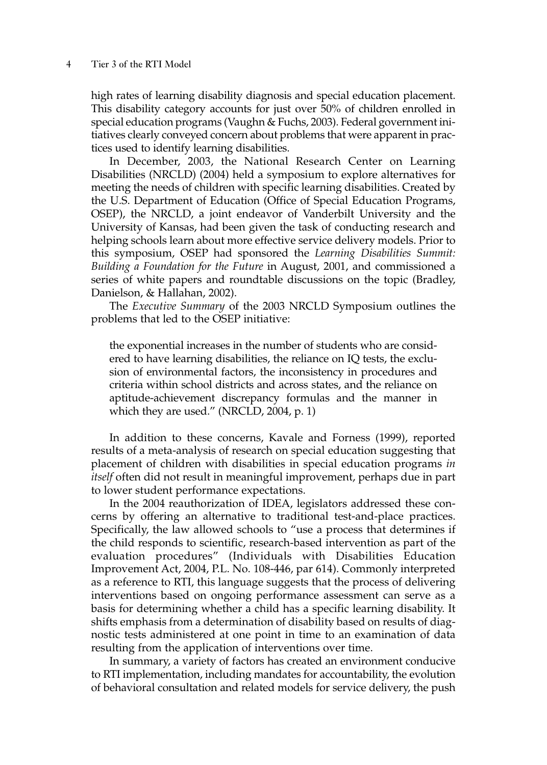high rates of learning disability diagnosis and special education placement. This disability category accounts for just over 50% of children enrolled in special education programs (Vaughn & Fuchs, 2003). Federal government initiatives clearly conveyed concern about problems that were apparent in practices used to identify learning disabilities.

In December, 2003, the National Research Center on Learning Disabilities (NRCLD) (2004) held a symposium to explore alternatives for meeting the needs of children with specific learning disabilities. Created by the U.S. Department of Education (Office of Special Education Programs, OSEP), the NRCLD, a joint endeavor of Vanderbilt University and the University of Kansas, had been given the task of conducting research and helping schools learn about more effective service delivery models. Prior to this symposium, OSEP had sponsored the *Learning Disabilities Summit: Building a Foundation for the Future* in August, 2001, and commissioned a series of white papers and roundtable discussions on the topic (Bradley, Danielson, & Hallahan, 2002).

The *Executive Summary* of the 2003 NRCLD Symposium outlines the problems that led to the OSEP initiative:

the exponential increases in the number of students who are considered to have learning disabilities, the reliance on IQ tests, the exclusion of environmental factors, the inconsistency in procedures and criteria within school districts and across states, and the reliance on aptitude-achievement discrepancy formulas and the manner in which they are used." (NRCLD, 2004, p. 1)

In addition to these concerns, Kavale and Forness (1999), reported results of a meta-analysis of research on special education suggesting that placement of children with disabilities in special education programs *in itself* often did not result in meaningful improvement, perhaps due in part to lower student performance expectations.

In the 2004 reauthorization of IDEA, legislators addressed these concerns by offering an alternative to traditional test-and-place practices. Specifically, the law allowed schools to "use a process that determines if the child responds to scientific, research-based intervention as part of the evaluation procedures" (Individuals with Disabilities Education Improvement Act, 2004, P.L. No. 108-446, par 614). Commonly interpreted as a reference to RTI, this language suggests that the process of delivering interventions based on ongoing performance assessment can serve as a basis for determining whether a child has a specific learning disability. It shifts emphasis from a determination of disability based on results of diagnostic tests administered at one point in time to an examination of data resulting from the application of interventions over time.

In summary, a variety of factors has created an environment conducive to RTI implementation, including mandates for accountability, the evolution of behavioral consultation and related models for service delivery, the push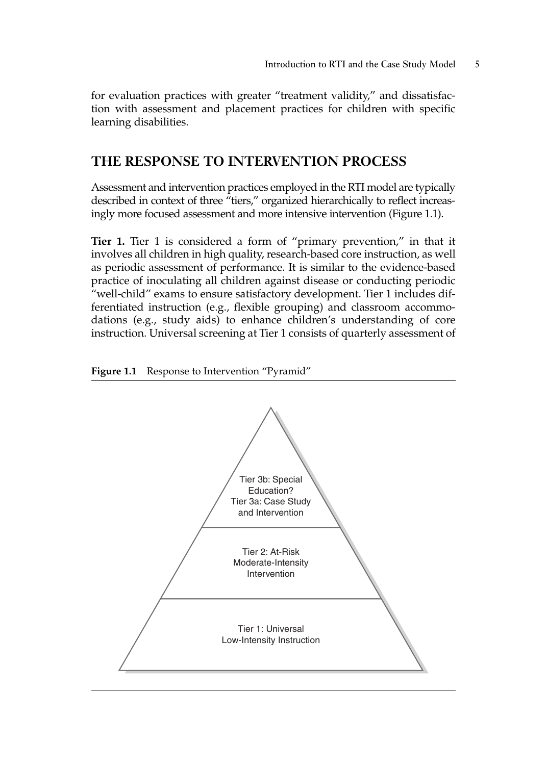for evaluation practices with greater "treatment validity," and dissatisfaction with assessment and placement practices for children with specific learning disabilities.

# **THE RESPONSE TO INTERVENTION PROCESS**

Assessment and intervention practices employed in the RTI model are typically described in context of three "tiers," organized hierarchically to reflect increasingly more focused assessment and more intensive intervention (Figure 1.1).

**Tier 1.** Tier 1 is considered a form of "primary prevention," in that it involves all children in high quality, research-based core instruction, as well as periodic assessment of performance. It is similar to the evidence-based practice of inoculating all children against disease or conducting periodic "well-child" exams to ensure satisfactory development. Tier 1 includes differentiated instruction (e.g., flexible grouping) and classroom accommodations (e.g., study aids) to enhance children's understanding of core instruction. Universal screening at Tier 1 consists of quarterly assessment of



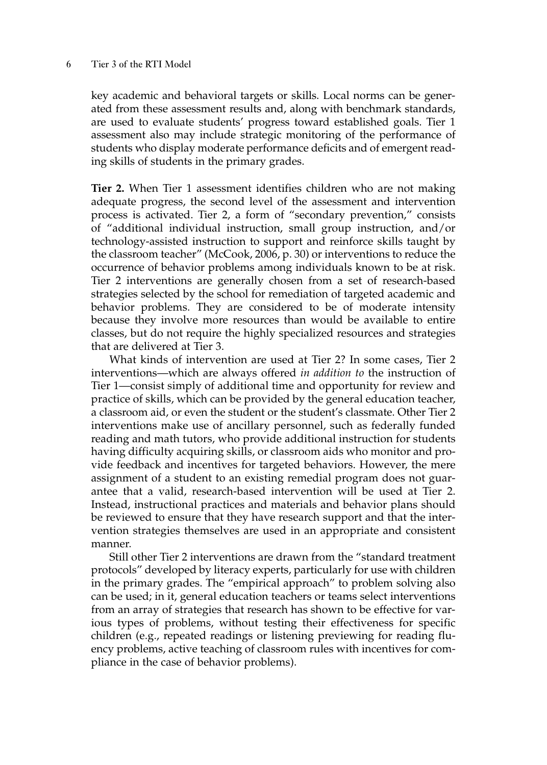key academic and behavioral targets or skills. Local norms can be generated from these assessment results and, along with benchmark standards, are used to evaluate students' progress toward established goals. Tier 1 assessment also may include strategic monitoring of the performance of students who display moderate performance deficits and of emergent reading skills of students in the primary grades.

**Tier 2.** When Tier 1 assessment identifies children who are not making adequate progress, the second level of the assessment and intervention process is activated. Tier 2, a form of "secondary prevention," consists of "additional individual instruction, small group instruction, and/or technology-assisted instruction to support and reinforce skills taught by the classroom teacher" (McCook, 2006, p. 30) or interventions to reduce the occurrence of behavior problems among individuals known to be at risk. Tier 2 interventions are generally chosen from a set of research-based strategies selected by the school for remediation of targeted academic and behavior problems. They are considered to be of moderate intensity because they involve more resources than would be available to entire classes, but do not require the highly specialized resources and strategies that are delivered at Tier 3.

What kinds of intervention are used at Tier 2? In some cases, Tier 2 interventions—which are always offered *in addition to* the instruction of Tier 1—consist simply of additional time and opportunity for review and practice of skills, which can be provided by the general education teacher, a classroom aid, or even the student or the student's classmate. Other Tier 2 interventions make use of ancillary personnel, such as federally funded reading and math tutors, who provide additional instruction for students having difficulty acquiring skills, or classroom aids who monitor and provide feedback and incentives for targeted behaviors. However, the mere assignment of a student to an existing remedial program does not guarantee that a valid, research-based intervention will be used at Tier 2. Instead, instructional practices and materials and behavior plans should be reviewed to ensure that they have research support and that the intervention strategies themselves are used in an appropriate and consistent manner.

Still other Tier 2 interventions are drawn from the "standard treatment protocols" developed by literacy experts, particularly for use with children in the primary grades. The "empirical approach" to problem solving also can be used; in it, general education teachers or teams select interventions from an array of strategies that research has shown to be effective for various types of problems, without testing their effectiveness for specific children (e.g., repeated readings or listening previewing for reading fluency problems, active teaching of classroom rules with incentives for compliance in the case of behavior problems).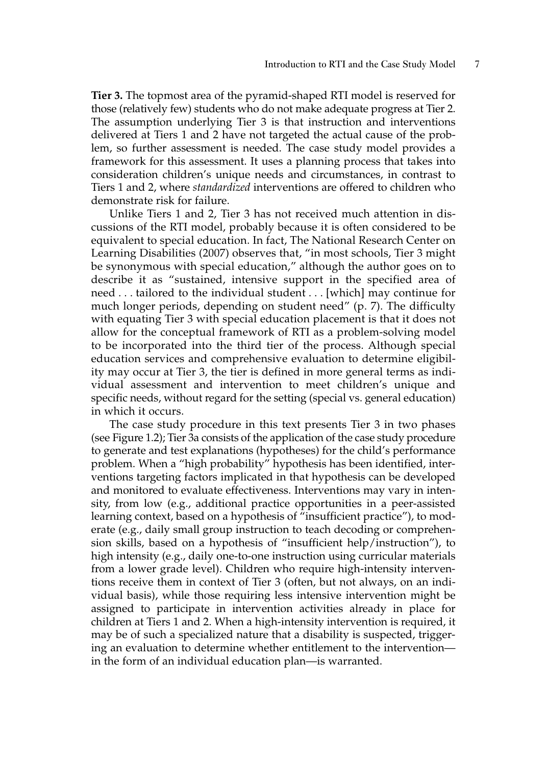**Tier 3.** The topmost area of the pyramid-shaped RTI model is reserved for those (relatively few) students who do not make adequate progress at Tier 2. The assumption underlying Tier 3 is that instruction and interventions delivered at Tiers 1 and 2 have not targeted the actual cause of the problem, so further assessment is needed. The case study model provides a framework for this assessment. It uses a planning process that takes into consideration children's unique needs and circumstances, in contrast to Tiers 1 and 2, where *standardized* interventions are offered to children who demonstrate risk for failure.

Unlike Tiers 1 and 2, Tier 3 has not received much attention in discussions of the RTI model, probably because it is often considered to be equivalent to special education. In fact, The National Research Center on Learning Disabilities (2007) observes that, "in most schools, Tier 3 might be synonymous with special education," although the author goes on to describe it as "sustained, intensive support in the specified area of need ... tailored to the individual student ... [which] may continue for much longer periods, depending on student need" (p. 7). The difficulty with equating Tier 3 with special education placement is that it does not allow for the conceptual framework of RTI as a problem-solving model to be incorporated into the third tier of the process. Although special education services and comprehensive evaluation to determine eligibility may occur at Tier 3, the tier is defined in more general terms as individual assessment and intervention to meet children's unique and specific needs, without regard for the setting (special vs. general education) in which it occurs.

The case study procedure in this text presents Tier 3 in two phases (see Figure 1.2); Tier 3a consists of the application of the case study procedure to generate and test explanations (hypotheses) for the child's performance problem. When a "high probability" hypothesis has been identified, interventions targeting factors implicated in that hypothesis can be developed and monitored to evaluate effectiveness. Interventions may vary in intensity, from low (e.g., additional practice opportunities in a peer-assisted learning context, based on a hypothesis of "insufficient practice"), to moderate (e.g., daily small group instruction to teach decoding or comprehension skills, based on a hypothesis of "insufficient help/instruction"), to high intensity (e.g., daily one-to-one instruction using curricular materials from a lower grade level). Children who require high-intensity interventions receive them in context of Tier 3 (often, but not always, on an individual basis), while those requiring less intensive intervention might be assigned to participate in intervention activities already in place for children at Tiers 1 and 2. When a high-intensity intervention is required, it may be of such a specialized nature that a disability is suspected, triggering an evaluation to determine whether entitlement to the intervention in the form of an individual education plan—is warranted.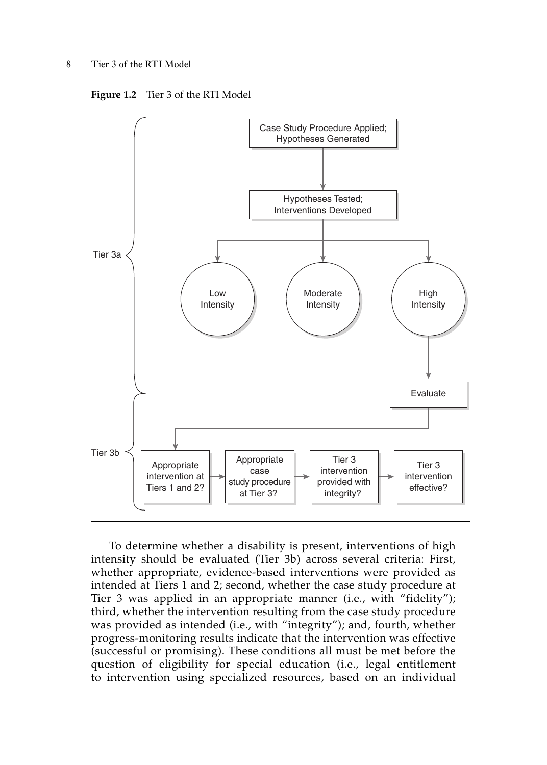



To determine whether a disability is present, interventions of high intensity should be evaluated (Tier 3b) across several criteria: First, whether appropriate, evidence-based interventions were provided as intended at Tiers 1 and 2; second, whether the case study procedure at Tier 3 was applied in an appropriate manner (i.e., with "fidelity"); third, whether the intervention resulting from the case study procedure was provided as intended (i.e., with "integrity"); and, fourth, whether progress-monitoring results indicate that the intervention was effective (successful or promising). These conditions all must be met before the question of eligibility for special education (i.e., legal entitlement to intervention using specialized resources, based on an individual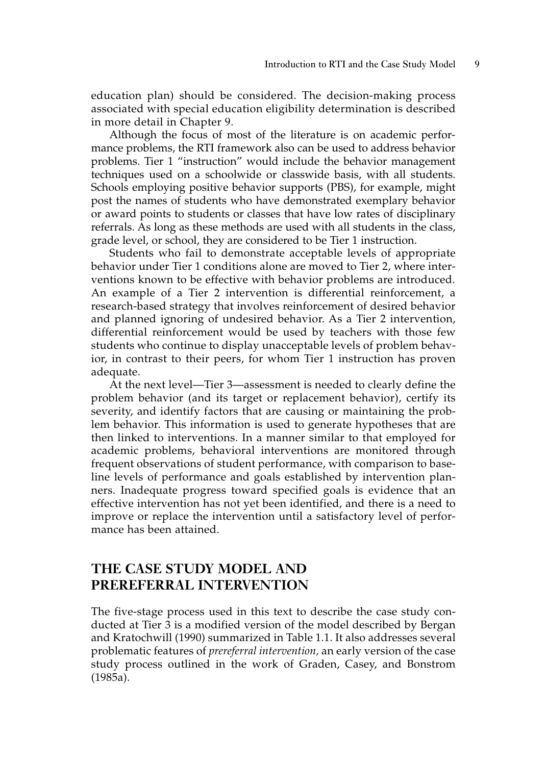education plan) should be considered. The decision-making process associated with special education eligibility determination is described in more detail in Chapter 9.

Although the focus of most of the literature is on academic performance problems, the RTI framework also can be used to address behavior problems. Tier 1 "instruction" would include the behavior management techniques used on a schoolwide or classwide basis, with all students. Schools employing positive behavior supports (PBS), for example, might post the names of students who have demonstrated exemplary behavior or award points to students or classes that have low rates of disciplinary referrals. As long as these methods are used with all students in the class, grade level, or school, they are considered to be Tier 1 instruction.

Students who fail to demonstrate acceptable levels of appropriate behavior under Tier 1 conditions alone are moved to Tier 2, where interventions known to be effective with behavior problems are introduced. An example of a Tier 2 intervention is differential reinforcement, a research-based strategy that involves reinforcement of desired behavior and planned ignoring of undesired behavior. As a Tier 2 intervention, differential reinforcement would be used by teachers with those few students who continue to display unacceptable levels of problem behavior, in contrast to their peers, for whom Tier 1 instruction has proven adequate.

At the next level—Tier 3—assessment is needed to clearly define the problem behavior (and its target or replacement behavior), certify its severity, and identify factors that are causing or maintaining the problem behavior. This information is used to generate hypotheses that are then linked to interventions. In a manner similar to that employed for academic problems, behavioral interventions are monitored through frequent observations of student performance, with comparison to baseline levels of performance and goals established by intervention planners. Inadequate progress toward specified goals is evidence that an effective intervention has not yet been identified, and there is a need to improve or replace the intervention until a satisfactory level of performance has been attained.

# **THE CASE STUDY MODEL AND PREREFERRAL INTERVENTION**

The five-stage process used in this text to describe the case study conducted at Tier 3 is a modified version of the model described by Bergan and Kratochwill (1990) summarized in Table 1.1. It also addresses several problematic features of *prereferral intervention,* an early version of the case study process outlined in the work of Graden, Casey, and Bonstrom (1985a).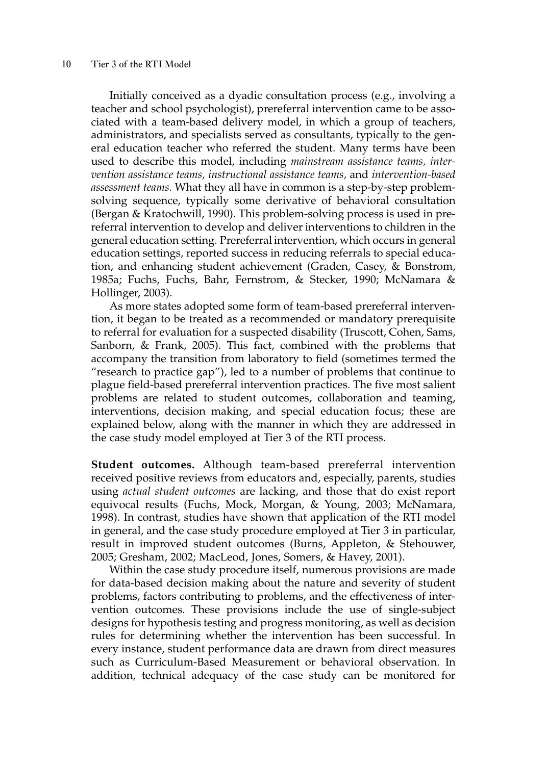Initially conceived as a dyadic consultation process (e.g., involving a teacher and school psychologist), prereferral intervention came to be associated with a team-based delivery model, in which a group of teachers, administrators, and specialists served as consultants, typically to the general education teacher who referred the student. Many terms have been used to describe this model, including *mainstream assistance teams, intervention assistance teams, instructional assistance teams,* and *intervention-based assessment teams.* What they all have in common is a step-by-step problemsolving sequence, typically some derivative of behavioral consultation (Bergan & Kratochwill, 1990). This problem-solving process is used in prereferral intervention to develop and deliver interventions to children in the general education setting. Prereferral intervention, which occurs in general education settings, reported success in reducing referrals to special education, and enhancing student achievement (Graden, Casey, & Bonstrom, 1985a; Fuchs, Fuchs, Bahr, Fernstrom, & Stecker, 1990; McNamara & Hollinger, 2003).

As more states adopted some form of team-based prereferral intervention, it began to be treated as a recommended or mandatory prerequisite to referral for evaluation for a suspected disability (Truscott, Cohen, Sams, Sanborn, & Frank, 2005). This fact, combined with the problems that accompany the transition from laboratory to field (sometimes termed the "research to practice gap"), led to a number of problems that continue to plague field-based prereferral intervention practices. The five most salient problems are related to student outcomes, collaboration and teaming, interventions, decision making, and special education focus; these are explained below, along with the manner in which they are addressed in the case study model employed at Tier 3 of the RTI process.

**Student outcomes.** Although team-based prereferral intervention received positive reviews from educators and, especially, parents, studies using *actual student outcomes* are lacking, and those that do exist report equivocal results (Fuchs, Mock, Morgan, & Young, 2003; McNamara, 1998). In contrast, studies have shown that application of the RTI model in general, and the case study procedure employed at Tier 3 in particular, result in improved student outcomes (Burns, Appleton, & Stehouwer, 2005; Gresham, 2002; MacLeod, Jones, Somers, & Havey, 2001).

Within the case study procedure itself, numerous provisions are made for data-based decision making about the nature and severity of student problems, factors contributing to problems, and the effectiveness of intervention outcomes. These provisions include the use of single-subject designs for hypothesis testing and progress monitoring, as well as decision rules for determining whether the intervention has been successful. In every instance, student performance data are drawn from direct measures such as Curriculum-Based Measurement or behavioral observation. In addition, technical adequacy of the case study can be monitored for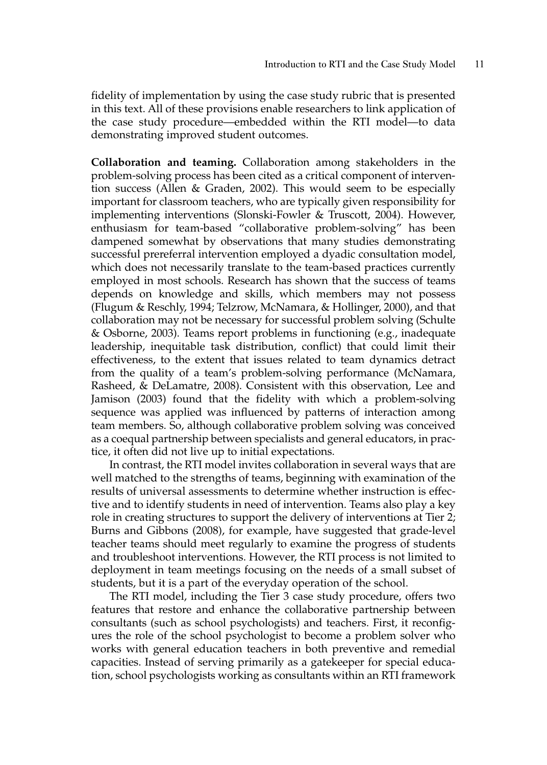fidelity of implementation by using the case study rubric that is presented in this text. All of these provisions enable researchers to link application of the case study procedure—embedded within the RTI model—to data demonstrating improved student outcomes.

**Collaboration and teaming.** Collaboration among stakeholders in the problem-solving process has been cited as a critical component of intervention success (Allen & Graden, 2002). This would seem to be especially important for classroom teachers, who are typically given responsibility for implementing interventions (Slonski-Fowler & Truscott, 2004). However, enthusiasm for team-based "collaborative problem-solving" has been dampened somewhat by observations that many studies demonstrating successful prereferral intervention employed a dyadic consultation model, which does not necessarily translate to the team-based practices currently employed in most schools. Research has shown that the success of teams depends on knowledge and skills, which members may not possess (Flugum & Reschly, 1994; Telzrow, McNamara, & Hollinger, 2000), and that collaboration may not be necessary for successful problem solving (Schulte & Osborne, 2003). Teams report problems in functioning (e.g., inadequate leadership, inequitable task distribution, conflict) that could limit their effectiveness, to the extent that issues related to team dynamics detract from the quality of a team's problem-solving performance (McNamara, Rasheed, & DeLamatre, 2008). Consistent with this observation, Lee and Jamison (2003) found that the fidelity with which a problem-solving sequence was applied was influenced by patterns of interaction among team members. So, although collaborative problem solving was conceived as a coequal partnership between specialists and general educators, in practice, it often did not live up to initial expectations.

In contrast, the RTI model invites collaboration in several ways that are well matched to the strengths of teams, beginning with examination of the results of universal assessments to determine whether instruction is effective and to identify students in need of intervention. Teams also play a key role in creating structures to support the delivery of interventions at Tier 2; Burns and Gibbons (2008), for example, have suggested that grade-level teacher teams should meet regularly to examine the progress of students and troubleshoot interventions. However, the RTI process is not limited to deployment in team meetings focusing on the needs of a small subset of students, but it is a part of the everyday operation of the school.

The RTI model, including the Tier 3 case study procedure, offers two features that restore and enhance the collaborative partnership between consultants (such as school psychologists) and teachers. First, it reconfigures the role of the school psychologist to become a problem solver who works with general education teachers in both preventive and remedial capacities. Instead of serving primarily as a gatekeeper for special education, school psychologists working as consultants within an RTI framework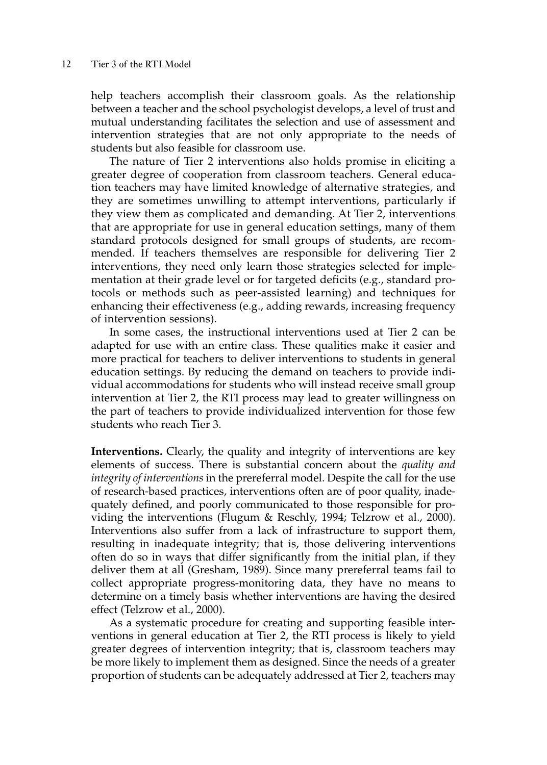help teachers accomplish their classroom goals. As the relationship between a teacher and the school psychologist develops, a level of trust and mutual understanding facilitates the selection and use of assessment and intervention strategies that are not only appropriate to the needs of students but also feasible for classroom use.

The nature of Tier 2 interventions also holds promise in eliciting a greater degree of cooperation from classroom teachers. General education teachers may have limited knowledge of alternative strategies, and they are sometimes unwilling to attempt interventions, particularly if they view them as complicated and demanding. At Tier 2, interventions that are appropriate for use in general education settings, many of them standard protocols designed for small groups of students, are recommended. If teachers themselves are responsible for delivering Tier 2 interventions, they need only learn those strategies selected for implementation at their grade level or for targeted deficits (e.g., standard protocols or methods such as peer-assisted learning) and techniques for enhancing their effectiveness (e.g., adding rewards, increasing frequency of intervention sessions).

In some cases, the instructional interventions used at Tier 2 can be adapted for use with an entire class. These qualities make it easier and more practical for teachers to deliver interventions to students in general education settings. By reducing the demand on teachers to provide individual accommodations for students who will instead receive small group intervention at Tier 2, the RTI process may lead to greater willingness on the part of teachers to provide individualized intervention for those few students who reach Tier 3.

**Interventions.** Clearly, the quality and integrity of interventions are key elements of success. There is substantial concern about the *quality and integrity of interventions* in the prereferral model. Despite the call for the use of research-based practices, interventions often are of poor quality, inadequately defined, and poorly communicated to those responsible for providing the interventions (Flugum & Reschly, 1994; Telzrow et al., 2000). Interventions also suffer from a lack of infrastructure to support them, resulting in inadequate integrity; that is, those delivering interventions often do so in ways that differ significantly from the initial plan, if they deliver them at all (Gresham, 1989). Since many prereferral teams fail to collect appropriate progress-monitoring data, they have no means to determine on a timely basis whether interventions are having the desired effect (Telzrow et al., 2000).

As a systematic procedure for creating and supporting feasible interventions in general education at Tier 2, the RTI process is likely to yield greater degrees of intervention integrity; that is, classroom teachers may be more likely to implement them as designed. Since the needs of a greater proportion of students can be adequately addressed at Tier 2, teachers may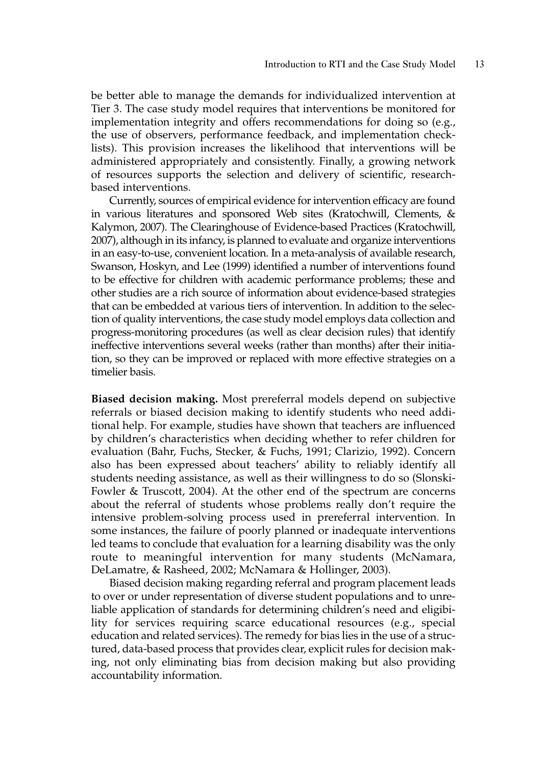be better able to manage the demands for individualized intervention at Tier 3. The case study model requires that interventions be monitored for implementation integrity and offers recommendations for doing so (e.g., the use of observers, performance feedback, and implementation checklists). This provision increases the likelihood that interventions will be administered appropriately and consistently. Finally, a growing network of resources supports the selection and delivery of scientific, researchbased interventions.

Currently, sources of empirical evidence for intervention efficacy are found in various literatures and sponsored Web sites (Kratochwill, Clements, & Kalymon, 2007). The Clearinghouse of Evidence-based Practices (Kratochwill, 2007), although in its infancy, is planned to evaluate and organize interventions in an easy-to-use, convenient location. In a meta-analysis of available research, Swanson, Hoskyn, and Lee (1999) identified a number of interventions found to be effective for children with academic performance problems; these and other studies are a rich source of information about evidence-based strategies that can be embedded at various tiers of intervention. In addition to the selection of quality interventions, the case study model employs data collection and progress-monitoring procedures (as well as clear decision rules) that identify ineffective interventions several weeks (rather than months) after their initiation, so they can be improved or replaced with more effective strategies on a timelier basis.

**Biased decision making.** Most prereferral models depend on subjective referrals or biased decision making to identify students who need additional help. For example, studies have shown that teachers are influenced by children's characteristics when deciding whether to refer children for evaluation (Bahr, Fuchs, Stecker, & Fuchs, 1991; Clarizio, 1992). Concern also has been expressed about teachers' ability to reliably identify all students needing assistance, as well as their willingness to do so (Slonski-Fowler & Truscott, 2004). At the other end of the spectrum are concerns about the referral of students whose problems really don't require the intensive problem-solving process used in prereferral intervention. In some instances, the failure of poorly planned or inadequate interventions led teams to conclude that evaluation for a learning disability was the only route to meaningful intervention for many students (McNamara, DeLamatre, & Rasheed, 2002; McNamara & Hollinger, 2003).

Biased decision making regarding referral and program placement leads to over or under representation of diverse student populations and to unreliable application of standards for determining children's need and eligibility for services requiring scarce educational resources (e.g., special education and related services). The remedy for bias lies in the use of a structured, data-based process that provides clear, explicit rules for decision making, not only eliminating bias from decision making but also providing accountability information.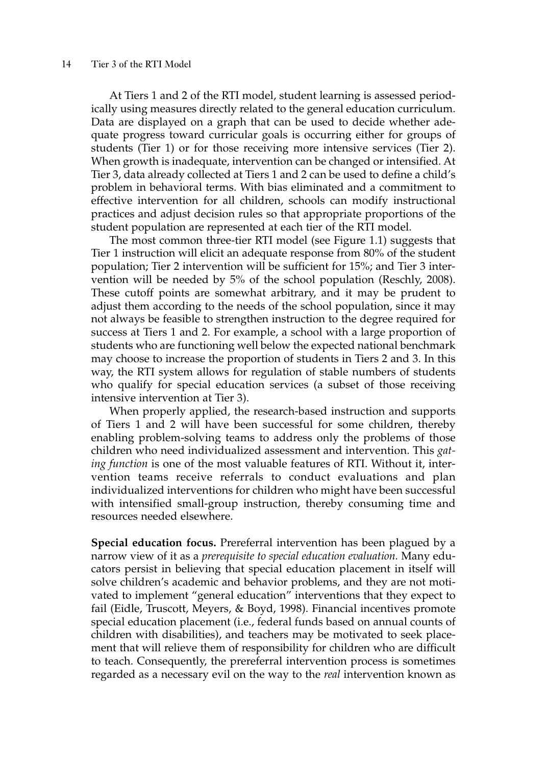At Tiers 1 and 2 of the RTI model, student learning is assessed periodically using measures directly related to the general education curriculum. Data are displayed on a graph that can be used to decide whether adequate progress toward curricular goals is occurring either for groups of students (Tier 1) or for those receiving more intensive services (Tier 2). When growth is inadequate, intervention can be changed or intensified. At Tier 3, data already collected at Tiers 1 and 2 can be used to define a child's problem in behavioral terms. With bias eliminated and a commitment to effective intervention for all children, schools can modify instructional practices and adjust decision rules so that appropriate proportions of the student population are represented at each tier of the RTI model.

The most common three-tier RTI model (see Figure 1.1) suggests that Tier 1 instruction will elicit an adequate response from 80% of the student population; Tier 2 intervention will be sufficient for 15%; and Tier 3 intervention will be needed by 5% of the school population (Reschly, 2008). These cutoff points are somewhat arbitrary, and it may be prudent to adjust them according to the needs of the school population, since it may not always be feasible to strengthen instruction to the degree required for success at Tiers 1 and 2. For example, a school with a large proportion of students who are functioning well below the expected national benchmark may choose to increase the proportion of students in Tiers 2 and 3. In this way, the RTI system allows for regulation of stable numbers of students who qualify for special education services (a subset of those receiving intensive intervention at Tier 3).

When properly applied, the research-based instruction and supports of Tiers 1 and 2 will have been successful for some children, thereby enabling problem-solving teams to address only the problems of those children who need individualized assessment and intervention. This *gating function* is one of the most valuable features of RTI. Without it, intervention teams receive referrals to conduct evaluations and plan individualized interventions for children who might have been successful with intensified small-group instruction, thereby consuming time and resources needed elsewhere.

**Special education focus.** Prereferral intervention has been plagued by a narrow view of it as a *prerequisite to special education evaluation.* Many educators persist in believing that special education placement in itself will solve children's academic and behavior problems, and they are not motivated to implement "general education" interventions that they expect to fail (Eidle, Truscott, Meyers, & Boyd, 1998). Financial incentives promote special education placement (i.e., federal funds based on annual counts of children with disabilities), and teachers may be motivated to seek placement that will relieve them of responsibility for children who are difficult to teach. Consequently, the prereferral intervention process is sometimes regarded as a necessary evil on the way to the *real* intervention known as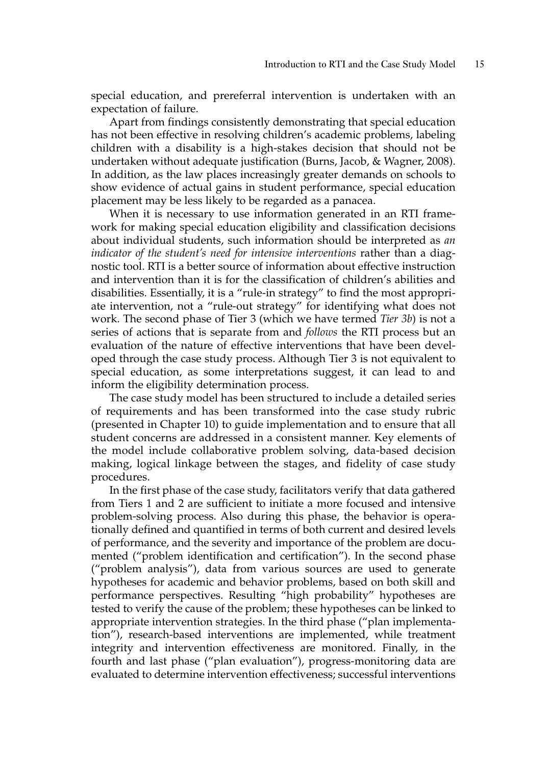special education, and prereferral intervention is undertaken with an expectation of failure.

Apart from findings consistently demonstrating that special education has not been effective in resolving children's academic problems, labeling children with a disability is a high-stakes decision that should not be undertaken without adequate justification (Burns, Jacob, & Wagner, 2008). In addition, as the law places increasingly greater demands on schools to show evidence of actual gains in student performance, special education placement may be less likely to be regarded as a panacea.

When it is necessary to use information generated in an RTI framework for making special education eligibility and classification decisions about individual students, such information should be interpreted as *an indicator of the student's need for intensive interventions* rather than a diagnostic tool. RTI is a better source of information about effective instruction and intervention than it is for the classification of children's abilities and disabilities. Essentially, it is a "rule-in strategy" to find the most appropriate intervention, not a "rule-out strategy" for identifying what does not work. The second phase of Tier 3 (which we have termed *Tier 3b*) is not a series of actions that is separate from and *follows* the RTI process but an evaluation of the nature of effective interventions that have been developed through the case study process. Although Tier 3 is not equivalent to special education, as some interpretations suggest, it can lead to and inform the eligibility determination process.

The case study model has been structured to include a detailed series of requirements and has been transformed into the case study rubric (presented in Chapter 10) to guide implementation and to ensure that all student concerns are addressed in a consistent manner. Key elements of the model include collaborative problem solving, data-based decision making, logical linkage between the stages, and fidelity of case study procedures.

In the first phase of the case study, facilitators verify that data gathered from Tiers 1 and 2 are sufficient to initiate a more focused and intensive problem-solving process. Also during this phase, the behavior is operationally defined and quantified in terms of both current and desired levels of performance, and the severity and importance of the problem are documented ("problem identification and certification"). In the second phase ("problem analysis"), data from various sources are used to generate hypotheses for academic and behavior problems, based on both skill and performance perspectives. Resulting "high probability" hypotheses are tested to verify the cause of the problem; these hypotheses can be linked to appropriate intervention strategies. In the third phase ("plan implementation"), research-based interventions are implemented, while treatment integrity and intervention effectiveness are monitored. Finally, in the fourth and last phase ("plan evaluation"), progress-monitoring data are evaluated to determine intervention effectiveness; successful interventions